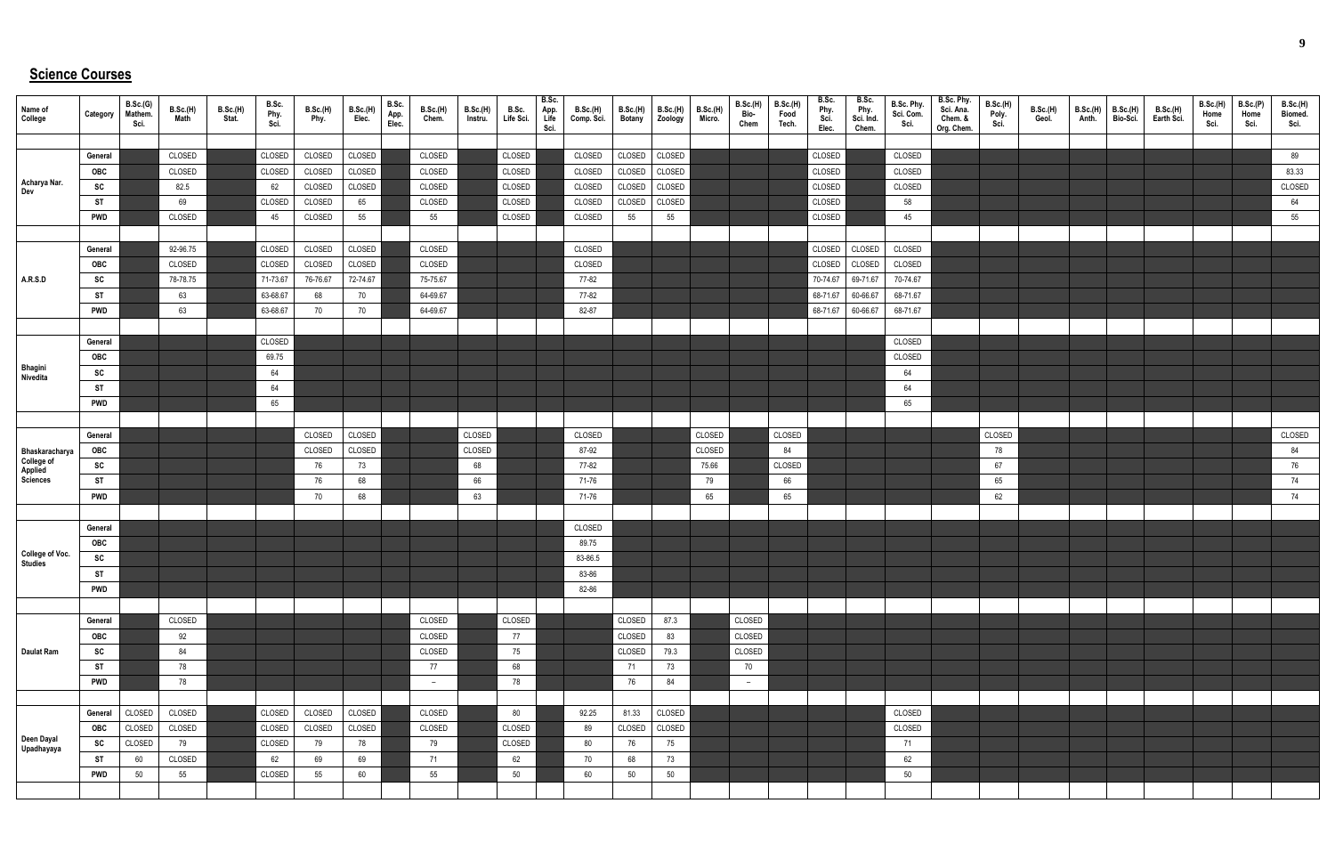## **Science Courses**

| Name of<br>College                                  | Category        | B.Sc.(G)<br>Mathem.<br>Sci. | B.Sc.(H)<br>Math | <b>B.Sc.(H)</b><br>Stat. | B.Sc.<br>Phy.<br>Sci. | B.Sc.(H)<br>Phy. | <b>B.Sc.(H)</b><br>Elec. | B.Sc.<br>App.<br>Elec. | <b>B.Sc.(H)</b><br>Chem. | B.Sc.(H)<br>Instru. | B.Sc.<br>Life Sci. | B.Sc.<br>App.<br>Life<br>Sci. | B.Sc.(H)<br>Comp. Sci. | <b>B.Sc.(H)</b><br><b>Botany</b> | B.Sc.(H)<br>Zoology | <b>B.Sc.(H)</b><br>Micro. | B.Sc.(H)<br>Bio-<br>Chem | <b>B.Sc.(H)</b><br>Food<br>Tech. | B.Sc.<br>Phy.<br>Sci.<br>Elec. | B.Sc.<br>Phy.<br>Sci. Ind.<br>Chem. | B.Sc. Phy.<br>Sci. Com.<br>Sci. | B.Sc. Phy.<br>Sci. Ana.<br>Chem. &<br>Org. Chem. | B.Sc.(H)<br>Poly.<br>Sci. | <b>B.Sc.(H)</b><br>Geol. | B.Sc.(H)<br>Anth. | <b>B.Sc.(H)</b><br>Bio-Sci. | <b>B.Sc.(H)</b><br>Earth Sci. | B.Sc.(H)<br>Home<br>Sci. | B.Sc.(P)<br>Home<br>Sci. | B.Sc.(H)<br>Biomed.<br>Sci. |
|-----------------------------------------------------|-----------------|-----------------------------|------------------|--------------------------|-----------------------|------------------|--------------------------|------------------------|--------------------------|---------------------|--------------------|-------------------------------|------------------------|----------------------------------|---------------------|---------------------------|--------------------------|----------------------------------|--------------------------------|-------------------------------------|---------------------------------|--------------------------------------------------|---------------------------|--------------------------|-------------------|-----------------------------|-------------------------------|--------------------------|--------------------------|-----------------------------|
|                                                     |                 |                             |                  |                          |                       |                  |                          |                        |                          |                     |                    |                               |                        |                                  |                     |                           |                          |                                  |                                |                                     |                                 |                                                  |                           |                          |                   |                             |                               |                          |                          |                             |
|                                                     | General         |                             | CLOSED           |                          | CLOSED                | CLOSED           | CLOSED                   |                        | CLOSED<br>CLOSED         |                     | CLOSED             |                               | CLOSED                 | CLOSED                           | CLOSED              |                           |                          |                                  | CLOSED                         |                                     | CLOSED<br>CLOSED                |                                                  |                           |                          |                   |                             |                               |                          |                          | 89                          |
| Acharya Nar.                                        | OBC<br>SC       |                             | CLOSED<br>82.5   |                          | CLOSED<br>62          | CLOSED<br>CLOSED | CLOSED<br>CLOSED         |                        | CLOSED                   |                     | CLOSED<br>CLOSED   |                               | CLOSED<br>CLOSED       | CLOSED<br>CLOSED                 | CLOSED<br>CLOSED    |                           |                          |                                  | CLOSED<br>CLOSED               |                                     | CLOSED                          |                                                  |                           |                          |                   |                             |                               |                          |                          | 83.33<br>CLOSED             |
| Dev                                                 | ST              |                             | 69               |                          | CLOSED                | CLOSED           | 65                       |                        | CLOSED                   |                     | CLOSED             |                               | <b>CLOSED</b>          | CLOSED                           | CLOSED              |                           |                          |                                  | CLOSED                         |                                     | 58                              |                                                  |                           |                          |                   |                             |                               |                          |                          | 64                          |
|                                                     | <b>PWD</b>      |                             | CLOSED           |                          | 45                    | CLOSED           | 55                       |                        | 55                       |                     | CLOSED             |                               | CLOSED                 | 55                               | 55                  |                           |                          |                                  | CLOSED                         |                                     | 45                              |                                                  |                           |                          |                   |                             |                               |                          |                          | 55                          |
|                                                     |                 |                             |                  |                          |                       |                  |                          |                        |                          |                     |                    |                               |                        |                                  |                     |                           |                          |                                  |                                |                                     |                                 |                                                  |                           |                          |                   |                             |                               |                          |                          |                             |
|                                                     | General         |                             | 92-96.75         |                          | CLOSED                | CLOSED           | CLOSED                   |                        | CLOSED                   |                     |                    |                               | CLOSED                 |                                  |                     |                           |                          |                                  | <b>CLOSED</b>                  | CLOSED                              | CLOSED                          |                                                  |                           |                          |                   |                             |                               |                          |                          |                             |
|                                                     | OBC             |                             | CLOSED           |                          | CLOSED                | CLOSED           | CLOSED                   |                        | CLOSED                   |                     |                    |                               | CLOSED                 |                                  |                     |                           |                          |                                  | CLOSED                         | CLOSED                              | CLOSED                          |                                                  |                           |                          |                   |                             |                               |                          |                          |                             |
| A.R.S.D                                             | SC              |                             | 78-78.75         |                          | 71-73.67              | 76-76.67         | 72-74.67                 |                        | 75-75.67                 |                     |                    |                               | 77-82                  |                                  |                     |                           |                          |                                  | 70-74.67                       | 69-71.67                            | 70-74.67                        |                                                  |                           |                          |                   |                             |                               |                          |                          |                             |
|                                                     | ST              |                             | 63               |                          | 63-68.67              | 68               | 70                       |                        | 64-69.67                 |                     |                    |                               | 77-82                  |                                  |                     |                           |                          |                                  | 68-71.67                       | 60-66.67                            | 68-71.67                        |                                                  |                           |                          |                   |                             |                               |                          |                          |                             |
|                                                     | <b>PWD</b>      |                             | 63               |                          | 63-68.67              | 70               | 70                       |                        | 64-69.67                 |                     |                    |                               | 82-87                  |                                  |                     |                           |                          |                                  |                                | 68-71.67 60-66.67                   | 68-71.67                        |                                                  |                           |                          |                   |                             |                               |                          |                          |                             |
|                                                     |                 |                             |                  |                          |                       |                  |                          |                        |                          |                     |                    |                               |                        |                                  |                     |                           |                          |                                  |                                |                                     |                                 |                                                  |                           |                          |                   |                             |                               |                          |                          |                             |
|                                                     | General         |                             |                  |                          | CLOSED                |                  |                          |                        |                          |                     |                    |                               |                        |                                  |                     |                           |                          |                                  |                                |                                     | CLOSED                          |                                                  |                           |                          |                   |                             |                               |                          |                          |                             |
|                                                     | OBC             |                             |                  |                          | 69.75                 |                  |                          |                        |                          |                     |                    |                               |                        |                                  |                     |                           |                          |                                  |                                |                                     | CLOSED                          |                                                  |                           |                          |                   |                             |                               |                          |                          |                             |
| Bhagini<br>Nivedita                                 | SC              |                             |                  |                          | 64                    |                  |                          |                        |                          |                     |                    |                               |                        |                                  |                     |                           |                          |                                  |                                |                                     | 64                              |                                                  |                           |                          |                   |                             |                               |                          |                          |                             |
|                                                     | ST              |                             |                  |                          | 64                    |                  |                          |                        |                          |                     |                    |                               |                        |                                  |                     |                           |                          |                                  |                                |                                     | 64                              |                                                  |                           |                          |                   |                             |                               |                          |                          |                             |
|                                                     | <b>PWD</b>      |                             |                  |                          | 65                    |                  |                          |                        |                          |                     |                    |                               |                        |                                  |                     |                           |                          |                                  |                                |                                     | 65                              |                                                  |                           |                          |                   |                             |                               |                          |                          |                             |
|                                                     |                 |                             |                  |                          |                       |                  |                          |                        |                          |                     |                    |                               |                        |                                  |                     |                           |                          |                                  |                                |                                     |                                 |                                                  |                           |                          |                   |                             |                               |                          |                          |                             |
|                                                     | General         |                             |                  |                          |                       | CLOSED           | CLOSED                   |                        |                          | CLOSED              |                    |                               | CLOSED                 |                                  |                     | CLOSED                    |                          | CLOSED                           |                                |                                     |                                 |                                                  | CLOSED                    |                          |                   |                             |                               |                          |                          | CLOSED                      |
|                                                     | OBC             |                             |                  |                          |                       | CLOSED           | CLOSED                   |                        |                          | CLOSED              |                    |                               | 87-92                  |                                  |                     | CLOSED                    |                          | 84                               |                                |                                     |                                 |                                                  | 78                        |                          |                   |                             |                               |                          |                          | 84                          |
| Bhaskaracharya<br>College of<br>Applied<br>Sciences | SC              |                             |                  |                          |                       | 76               | 73                       |                        |                          | 68                  |                    |                               | 77-82                  |                                  |                     | 75.66                     |                          | CLOSED                           |                                |                                     |                                 |                                                  | 67                        |                          |                   |                             |                               |                          |                          | 76                          |
|                                                     | <b>ST</b>       |                             |                  |                          |                       | 76               | 68                       |                        |                          | 66                  |                    |                               | 71-76                  |                                  |                     | 79                        |                          | 66                               |                                |                                     |                                 |                                                  | 65                        |                          |                   |                             |                               |                          |                          | 74                          |
|                                                     | <b>PWD</b>      |                             |                  |                          |                       | 70               | 68                       |                        |                          | 63                  |                    |                               | 71-76                  |                                  |                     | 65                        |                          | 65                               |                                |                                     |                                 |                                                  | 62                        |                          |                   |                             |                               |                          |                          | 74                          |
|                                                     |                 |                             |                  |                          |                       |                  |                          |                        |                          |                     |                    |                               |                        |                                  |                     |                           |                          |                                  |                                |                                     |                                 |                                                  |                           |                          |                   |                             |                               |                          |                          |                             |
|                                                     | General         |                             |                  |                          |                       |                  |                          |                        |                          |                     |                    |                               | CLOSED                 |                                  |                     |                           |                          |                                  |                                |                                     |                                 |                                                  |                           |                          |                   |                             |                               |                          |                          |                             |
| <b>College of Voc.</b><br>Studies                   | <b>OBC</b>      |                             |                  |                          |                       |                  |                          |                        |                          |                     |                    |                               | 89.75<br>83-86.5       |                                  |                     |                           |                          |                                  |                                |                                     |                                 |                                                  |                           |                          |                   |                             |                               |                          |                          |                             |
|                                                     | SC<br><b>ST</b> |                             |                  |                          |                       |                  |                          |                        |                          |                     |                    |                               | 83-86                  |                                  |                     |                           |                          |                                  |                                |                                     |                                 |                                                  |                           |                          |                   |                             |                               |                          |                          |                             |
|                                                     | <b>PWD</b>      |                             |                  |                          |                       |                  |                          |                        |                          |                     |                    |                               | 82-86                  |                                  |                     |                           |                          |                                  |                                |                                     |                                 |                                                  |                           |                          |                   |                             |                               |                          |                          |                             |
|                                                     |                 |                             |                  |                          |                       |                  |                          |                        |                          |                     |                    |                               |                        |                                  |                     |                           |                          |                                  |                                |                                     |                                 |                                                  |                           |                          |                   |                             |                               |                          |                          |                             |
|                                                     | General         |                             | CLOSED           |                          |                       |                  |                          |                        | CLOSED                   |                     | CLOSED             |                               |                        | CLOSED                           | 87.3                |                           | CLOSED                   |                                  |                                |                                     |                                 |                                                  |                           |                          |                   |                             |                               |                          |                          |                             |
|                                                     | OBC             |                             | 92               |                          |                       |                  |                          |                        | CLOSED                   |                     | 77                 |                               |                        | CLOSED                           | 83                  |                           | CLOSED                   |                                  |                                |                                     |                                 |                                                  |                           |                          |                   |                             |                               |                          |                          |                             |
| <b>Daulat Ram</b>                                   | SC              |                             | 84               |                          |                       |                  |                          |                        | CLOSED                   |                     | 75                 |                               |                        | CLOSED                           | 79.3                |                           | CLOSED                   |                                  |                                |                                     |                                 |                                                  |                           |                          |                   |                             |                               |                          |                          |                             |
|                                                     | <b>ST</b>       |                             | 78               |                          |                       |                  |                          |                        | 77                       |                     | 68                 |                               |                        | 71                               | 73                  |                           | 70                       |                                  |                                |                                     |                                 |                                                  |                           |                          |                   |                             |                               |                          |                          |                             |
|                                                     | <b>PWD</b>      |                             | 78               |                          |                       |                  |                          |                        | $-$                      |                     | 78                 |                               |                        | 76                               | 84                  |                           | $ \,$                    |                                  |                                |                                     |                                 |                                                  |                           |                          |                   |                             |                               |                          |                          |                             |
|                                                     |                 |                             |                  |                          |                       |                  |                          |                        |                          |                     |                    |                               |                        |                                  |                     |                           |                          |                                  |                                |                                     |                                 |                                                  |                           |                          |                   |                             |                               |                          |                          |                             |
|                                                     | General         | CLOSED                      | CLOSED           |                          | CLOSED                | CLOSED           | CLOSED                   |                        | CLOSED                   |                     | 80                 |                               | 92.25                  | 81.33                            | CLOSED              |                           |                          |                                  |                                |                                     | CLOSED                          |                                                  |                           |                          |                   |                             |                               |                          |                          |                             |
|                                                     | OBC             | CLOSED                      | CLOSED           |                          | CLOSED                | CLOSED           | CLOSED                   |                        | CLOSED                   |                     | CLOSED             |                               | 89                     | CLOSED                           | CLOSED              |                           |                          |                                  |                                |                                     | CLOSED                          |                                                  |                           |                          |                   |                             |                               |                          |                          |                             |
| Deen Dayal<br>Upadhayaya                            | <b>SC</b>       | CLOSED                      | 79               |                          | CLOSED                | 79               | 78                       |                        | 79                       |                     | CLOSED             |                               | 80                     | 76                               | 75                  |                           |                          |                                  |                                |                                     | 71                              |                                                  |                           |                          |                   |                             |                               |                          |                          |                             |
|                                                     | <b>ST</b>       | 60                          | CLOSED           |                          | 62                    | 69               | 69                       |                        | 71                       |                     | 62                 |                               | 70                     | 68                               | 73                  |                           |                          |                                  |                                |                                     | 62                              |                                                  |                           |                          |                   |                             |                               |                          |                          |                             |
|                                                     | <b>PWD</b>      | 50                          | 55               |                          | CLOSED                | 55               | 60                       |                        | 55                       |                     | 50                 |                               | 60                     | 50                               | 50                  |                           |                          |                                  |                                |                                     | 50                              |                                                  |                           |                          |                   |                             |                               |                          |                          |                             |
|                                                     |                 |                             |                  |                          |                       |                  |                          |                        |                          |                     |                    |                               |                        |                                  |                     |                           |                          |                                  |                                |                                     |                                 |                                                  |                           |                          |                   |                             |                               |                          |                          |                             |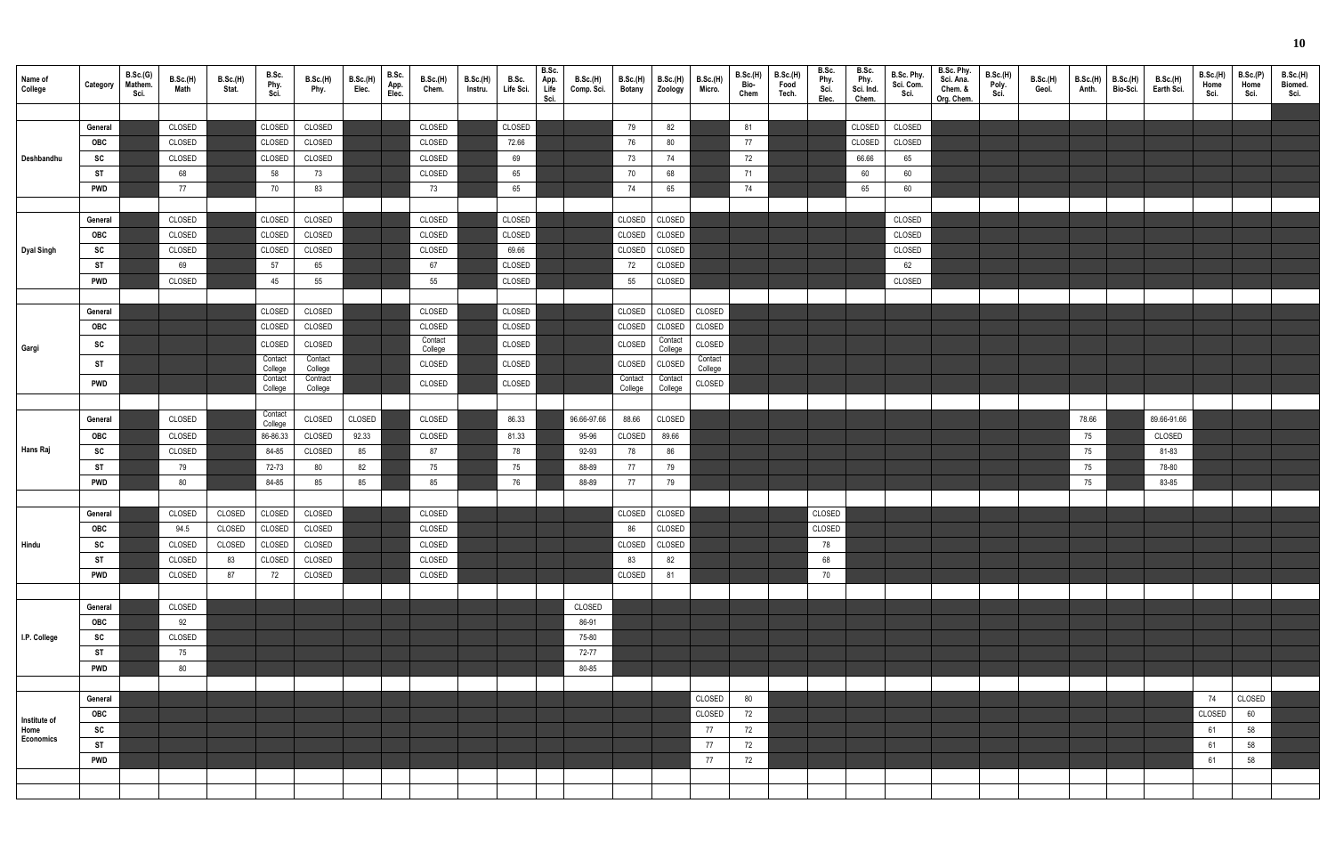| Name of<br>College   | Category         | B.Sc.(G)<br>Mathem.<br>Sci. | B.Sc.(H)<br>Math | <b>B.Sc.(H)</b><br>Stat. | B.Sc.<br>Phy.<br>Sci. | B.Sc.(H)<br>Phy.   | B.Sc.(H)<br>Elec. | B.Sc.<br>App.<br>Elec. | B.Sc.(H)<br>Chem.  | B.Sc.(H)<br>Instru. | B.Sc.<br>Life Sci. | B.Sc.<br>App.<br>Life<br>Sci. | <b>B.Sc.(H)</b><br>Comp. Sci. | <b>B.Sc.(H)</b><br><b>Botany</b> | <b>B.Sc.(H)</b><br>Zoology | <b>B.Sc.(H)</b><br>Micro. | B.Sc.(H)<br>Bio-<br>Chem | B.Sc.(H)<br>Food<br>Tech. | B.Sc.<br>Phy.<br>Sci.<br>Elec. | B.Sc.<br>Phy.<br>Sci. Ind.<br>Chem. | B.Sc. Phy.<br>Sci. Com.<br>Sci. | B.Sc. Phy.<br>Sci. Ana.<br>Chem. &<br>Org. Chem. | B.Sc.(H)<br>Poly.<br>Sci. | <b>B.Sc.(H)</b><br>Geol. | B.Sc.(H)<br>Anth. | B.Sc.(H)<br>Bio-Sci. | B.Sc.(H)<br>Earth Sci. | <b>B.Sc.(H)</b><br>Home<br>Sci. | B.Sc.(P)<br>Home<br>Sci. | <b>B.Sc.(H)</b><br>Biomed.<br>Sci. |
|----------------------|------------------|-----------------------------|------------------|--------------------------|-----------------------|--------------------|-------------------|------------------------|--------------------|---------------------|--------------------|-------------------------------|-------------------------------|----------------------------------|----------------------------|---------------------------|--------------------------|---------------------------|--------------------------------|-------------------------------------|---------------------------------|--------------------------------------------------|---------------------------|--------------------------|-------------------|----------------------|------------------------|---------------------------------|--------------------------|------------------------------------|
|                      |                  |                             |                  |                          |                       |                    |                   |                        |                    |                     |                    |                               |                               |                                  |                            |                           |                          |                           |                                |                                     |                                 |                                                  |                           |                          |                   |                      |                        |                                 |                          |                                    |
|                      | General          |                             | CLOSED           |                          | CLOSED                | CLOSED             |                   |                        | CLOSED             |                     | CLOSED             |                               |                               | 79                               | 82                         |                           | 81                       |                           |                                | CLOSED                              | CLOSED                          |                                                  |                           |                          |                   |                      |                        |                                 |                          |                                    |
|                      | OBC<br>SC        |                             | CLOSED<br>CLOSED |                          | CLOSED<br>CLOSED      | CLOSED<br>CLOSED   |                   |                        | CLOSED<br>CLOSED   |                     | 72.66<br>69        |                               |                               | 76                               | 80<br>74                   |                           | 77                       |                           |                                | CLOSED<br>66.66                     | CLOSED<br>65                    |                                                  |                           |                          |                   |                      |                        |                                 |                          |                                    |
| Deshbandhu           | ST               |                             | 68               |                          | 58                    | 73                 |                   |                        | CLOSED             |                     | 65                 |                               |                               | 73<br>70                         | 68                         |                           | 72<br>71                 |                           |                                | 60                                  | 60                              |                                                  |                           |                          |                   |                      |                        |                                 |                          |                                    |
|                      | <b>PWD</b>       |                             | 77               |                          | 70                    | 83                 |                   |                        | 73                 |                     | 65                 |                               |                               | 74                               | 65                         |                           | 74                       |                           |                                | 65                                  | 60                              |                                                  |                           |                          |                   |                      |                        |                                 |                          |                                    |
|                      |                  |                             |                  |                          |                       |                    |                   |                        |                    |                     |                    |                               |                               |                                  |                            |                           |                          |                           |                                |                                     |                                 |                                                  |                           |                          |                   |                      |                        |                                 |                          |                                    |
|                      | General          |                             | CLOSED           |                          | CLOSED                | CLOSED             |                   |                        | CLOSED             |                     | CLOSED             |                               |                               | CLOSED                           | CLOSED                     |                           |                          |                           |                                |                                     | CLOSED                          |                                                  |                           |                          |                   |                      |                        |                                 |                          |                                    |
|                      | OBC              |                             | CLOSED           |                          | CLOSED                | CLOSED             |                   |                        | CLOSED             |                     | CLOSED             |                               |                               | CLOSED                           | CLOSED                     |                           |                          |                           |                                |                                     | CLOSED                          |                                                  |                           |                          |                   |                      |                        |                                 |                          |                                    |
| Dyal Singh           | SC               |                             | CLOSED           |                          | CLOSED                | CLOSED             |                   |                        | CLOSED             |                     | 69.66              |                               |                               | CLOSED                           | CLOSED                     |                           |                          |                           |                                |                                     | CLOSED                          |                                                  |                           |                          |                   |                      |                        |                                 |                          |                                    |
|                      | ST               |                             | 69               |                          | 57                    | 65                 |                   |                        | 67                 |                     | CLOSED             |                               |                               | 72                               | CLOSED                     |                           |                          |                           |                                |                                     | 62                              |                                                  |                           |                          |                   |                      |                        |                                 |                          |                                    |
|                      | <b>PWD</b>       |                             | CLOSED           |                          | 45                    | 55                 |                   |                        | 55                 |                     | CLOSED             |                               |                               | 55                               | CLOSED                     |                           |                          |                           |                                |                                     | CLOSED                          |                                                  |                           |                          |                   |                      |                        |                                 |                          |                                    |
|                      |                  |                             |                  |                          |                       |                    |                   |                        |                    |                     |                    |                               |                               |                                  |                            |                           |                          |                           |                                |                                     |                                 |                                                  |                           |                          |                   |                      |                        |                                 |                          |                                    |
|                      | General          |                             |                  |                          | CLOSED                | CLOSED             |                   |                        | CLOSED             |                     | CLOSED             |                               |                               | CLOSED                           | CLOSED CLOSED              |                           |                          |                           |                                |                                     |                                 |                                                  |                           |                          |                   |                      |                        |                                 |                          |                                    |
|                      | OBC              |                             |                  |                          | CLOSED                | CLOSED             |                   |                        | CLOSED             |                     | CLOSED             |                               |                               | CLOSED                           | CLOSED                     | CLOSED                    |                          |                           |                                |                                     |                                 |                                                  |                           |                          |                   |                      |                        |                                 |                          |                                    |
| Gargi                | SC               |                             |                  |                          | CLOSED                | CLOSED             |                   |                        | Contact<br>College |                     | CLOSED             |                               |                               | CLOSED                           | Contact<br>College         | CLOSED                    |                          |                           |                                |                                     |                                 |                                                  |                           |                          |                   |                      |                        |                                 |                          |                                    |
|                      | <b>ST</b>        |                             |                  |                          | Contact<br>College    | Contact<br>College |                   |                        | CLOSED             |                     | CLOSED             |                               |                               | CLOSED                           | CLOSED                     | Contact<br>College        |                          |                           |                                |                                     |                                 |                                                  |                           |                          |                   |                      |                        |                                 |                          |                                    |
|                      | <b>PWD</b>       |                             |                  |                          | Contact               | Contract           |                   |                        | CLOSED             |                     | CLOSED             |                               |                               | Contact                          | Contact                    | CLOSED                    |                          |                           |                                |                                     |                                 |                                                  |                           |                          |                   |                      |                        |                                 |                          |                                    |
|                      |                  |                             |                  |                          | College               | College            |                   |                        |                    |                     |                    |                               |                               | College                          | College                    |                           |                          |                           |                                |                                     |                                 |                                                  |                           |                          |                   |                      |                        |                                 |                          |                                    |
|                      | General          |                             | CLOSED           |                          | Contact               | CLOSED             | CLOSED            |                        | CLOSED             |                     | 86.33              |                               | 96.66-97.66                   | 88.66                            | CLOSED                     |                           |                          |                           |                                |                                     |                                 |                                                  |                           |                          | 78.66             |                      | 89.66-91.66            |                                 |                          |                                    |
|                      | OBC              |                             | CLOSED           |                          | College<br>86-86.33   | CLOSED             | 92.33             |                        | CLOSED             |                     | 81.33              |                               | 95-96                         | CLOSED                           | 89.66                      |                           |                          |                           |                                |                                     |                                 |                                                  |                           |                          | 75                |                      | CLOSED                 |                                 |                          |                                    |
| Hans Raj             | SC               |                             | CLOSED           |                          | 84-85                 | CLOSED             | 85                |                        | 87                 |                     | 78                 |                               | 92-93                         | 78                               | 86                         |                           |                          |                           |                                |                                     |                                 |                                                  |                           |                          | 75                |                      | 81-83                  |                                 |                          |                                    |
|                      | <b>ST</b>        |                             | 79               |                          | 72-73                 | 80                 | 82                |                        | 75                 |                     | 75                 |                               | 88-89                         | 77                               | 79                         |                           |                          |                           |                                |                                     |                                 |                                                  |                           |                          | 75                |                      | 78-80                  |                                 |                          |                                    |
|                      | <b>PWD</b>       |                             | 80               |                          | 84-85                 | 85                 | 85                |                        | 85                 |                     | 76                 |                               | 88-89                         | 77                               | 79                         |                           |                          |                           |                                |                                     |                                 |                                                  |                           |                          | 75                |                      | 83-85                  |                                 |                          |                                    |
|                      |                  |                             |                  |                          |                       |                    |                   |                        |                    |                     |                    |                               |                               |                                  |                            |                           |                          |                           |                                |                                     |                                 |                                                  |                           |                          |                   |                      |                        |                                 |                          |                                    |
|                      | General          |                             | CLOSED           | CLOSED                   | CLOSED                | CLOSED             |                   |                        | CLOSED             |                     |                    |                               |                               | CLOSED   CLOSED                  |                            |                           |                          |                           | CLOSED                         |                                     |                                 |                                                  |                           |                          |                   |                      |                        |                                 |                          |                                    |
|                      | OBC              |                             | 94.5             | CLOSED                   | CLOSED                | CLOSED             |                   |                        | CLOSED             |                     |                    |                               |                               | 86                               | CLOSED                     |                           |                          |                           | CLOSED                         |                                     |                                 |                                                  |                           |                          |                   |                      |                        |                                 |                          |                                    |
| Hindu                | SC               |                             | CLOSED           | CLOSED                   | CLOSED                | CLOSED             |                   |                        | CLOSED             |                     |                    |                               |                               | CLOSED                           | CLOSED                     |                           |                          |                           | 78                             |                                     |                                 |                                                  |                           |                          |                   |                      |                        |                                 |                          |                                    |
|                      | <b>ST</b>        |                             | CLOSED           | 83                       | CLOSED                | CLOSED             |                   |                        | CLOSED             |                     |                    |                               |                               | 83                               | 82                         |                           |                          |                           | 68                             |                                     |                                 |                                                  |                           |                          |                   |                      |                        |                                 |                          |                                    |
|                      | <b>PWD</b>       |                             | CLOSED           | 87                       | 72                    | CLOSED             |                   |                        | CLOSED             |                     |                    |                               |                               | CLOSED                           | 81                         |                           |                          |                           | 70                             |                                     |                                 |                                                  |                           |                          |                   |                      |                        |                                 |                          |                                    |
|                      |                  |                             |                  |                          |                       |                    |                   |                        |                    |                     |                    |                               |                               |                                  |                            |                           |                          |                           |                                |                                     |                                 |                                                  |                           |                          |                   |                      |                        |                                 |                          |                                    |
|                      | General          |                             | CLOSED           |                          |                       |                    |                   |                        |                    |                     |                    |                               | CLOSED                        |                                  |                            |                           |                          |                           |                                |                                     |                                 |                                                  |                           |                          |                   |                      |                        |                                 |                          |                                    |
|                      | OBC              |                             | 92               |                          |                       |                    |                   |                        |                    |                     |                    |                               | 86-91                         |                                  |                            |                           |                          |                           |                                |                                     |                                 |                                                  |                           |                          |                   |                      |                        |                                 |                          |                                    |
| I.P. College         | SC               |                             | CLOSED           |                          |                       |                    |                   |                        |                    |                     |                    |                               | 75-80                         |                                  |                            |                           |                          |                           |                                |                                     |                                 |                                                  |                           |                          |                   |                      |                        |                                 |                          |                                    |
|                      | ST<br><b>PWD</b> |                             | 75<br>80         |                          |                       |                    |                   |                        |                    |                     |                    |                               | 72-77<br>80-85                |                                  |                            |                           |                          |                           |                                |                                     |                                 |                                                  |                           |                          |                   |                      |                        |                                 |                          |                                    |
|                      |                  |                             |                  |                          |                       |                    |                   |                        |                    |                     |                    |                               |                               |                                  |                            |                           |                          |                           |                                |                                     |                                 |                                                  |                           |                          |                   |                      |                        |                                 |                          |                                    |
|                      | General          |                             |                  |                          |                       |                    |                   |                        |                    |                     |                    |                               |                               |                                  |                            | CLOSED                    | 80                       |                           |                                |                                     |                                 |                                                  |                           |                          |                   |                      |                        | 74                              | CLOSED                   |                                    |
|                      | OBC              |                             |                  |                          |                       |                    |                   |                        |                    |                     |                    |                               |                               |                                  |                            | CLOSED                    | 72                       |                           |                                |                                     |                                 |                                                  |                           |                          |                   |                      |                        | CLOSED                          | 60                       |                                    |
| Institute of<br>Home | SC               |                             |                  |                          |                       |                    |                   |                        |                    |                     |                    |                               |                               |                                  |                            | 77                        | 72                       |                           |                                |                                     |                                 |                                                  |                           |                          |                   |                      |                        | 61                              | 58                       |                                    |
| Economics            | <b>ST</b>        |                             |                  |                          |                       |                    |                   |                        |                    |                     |                    |                               |                               |                                  |                            | 77                        | 72                       |                           |                                |                                     |                                 |                                                  |                           |                          |                   |                      |                        | 61                              | 58                       |                                    |
|                      | <b>PWD</b>       |                             |                  |                          |                       |                    |                   |                        |                    |                     |                    |                               |                               |                                  |                            | 77                        | 72                       |                           |                                |                                     |                                 |                                                  |                           |                          |                   |                      |                        | 61                              | 58                       |                                    |
|                      |                  |                             |                  |                          |                       |                    |                   |                        |                    |                     |                    |                               |                               |                                  |                            |                           |                          |                           |                                |                                     |                                 |                                                  |                           |                          |                   |                      |                        |                                 |                          |                                    |
|                      |                  |                             |                  |                          |                       |                    |                   |                        |                    |                     |                    |                               |                               |                                  |                            |                           |                          |                           |                                |                                     |                                 |                                                  |                           |                          |                   |                      |                        |                                 |                          |                                    |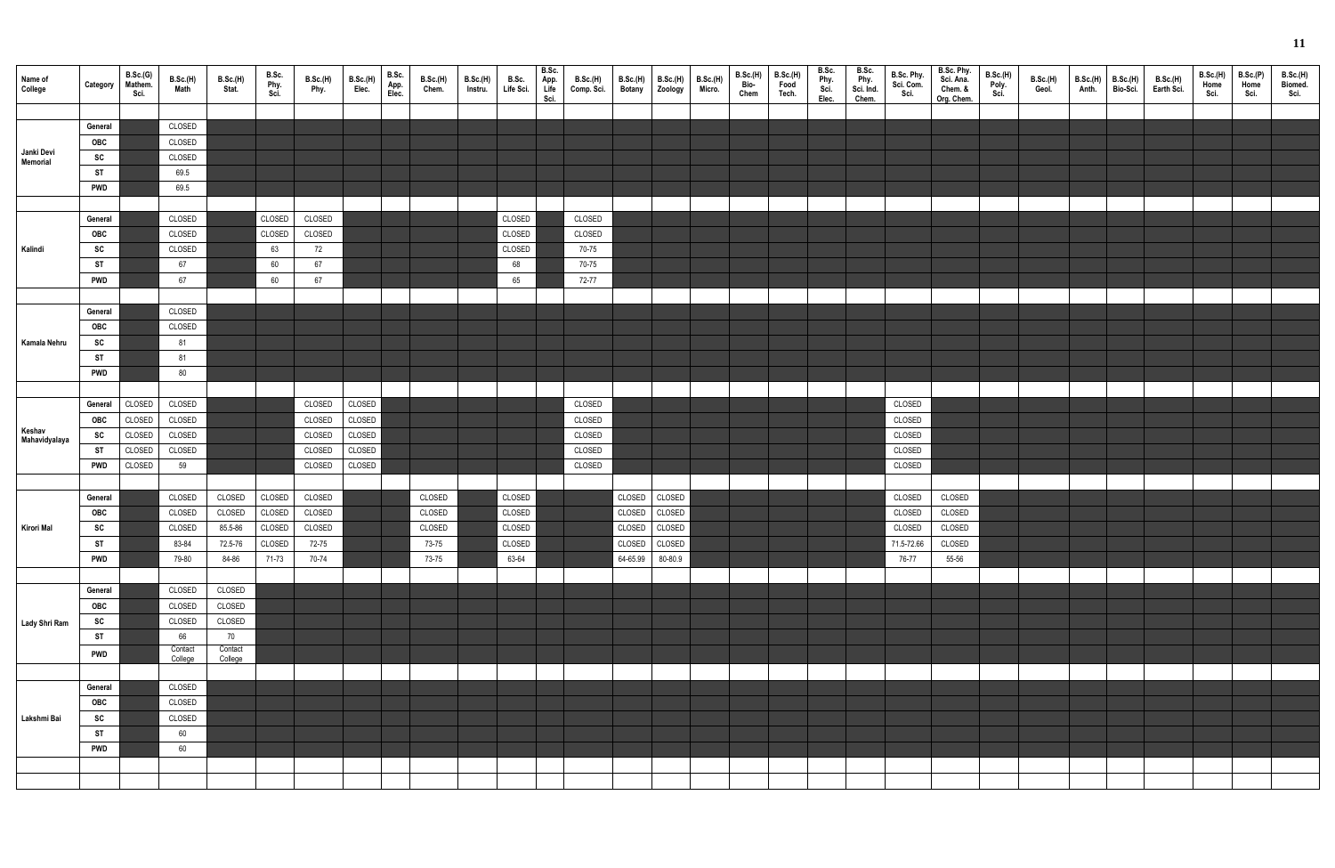| Name of<br>College            | Category   | B.Sc.(G)<br>Mathem.<br>Sci. | B.Sc.(H)<br>Math | B.Sc.(H)<br>Stat. | B.Sc.<br>Phy.<br>Sci. | B.Sc.(H)<br>Phy. | <b>B.Sc.(H)</b><br>Elec. | B.Sc.<br>App.<br>Elec. | <b>B.Sc.(H)</b><br>Chem. | B.Sc.(H)<br>Instru. | B.Sc.<br>Life Sci. | B.Sc.<br>App.<br>Life<br>Sci. | <b>B.Sc.(H)</b><br>Comp. Sci. | <b>B.Sc.(H)</b><br><b>Botany</b> | <b>B.Sc.(H)</b><br>Zoology | <b>B.Sc.(H)</b><br>Micro. | B.Sc.(H)<br>Bio-<br>Chem | <b>B.Sc.(H)</b><br>Food<br>Tech. | B.Sc.<br>Phy.<br>Sci.<br>Elec. | B.Sc.<br>Phy.<br>Sci. Ind.<br>Chem. | B.Sc. Phy.<br>Sci. Com.<br>Sci. | B.Sc. Phy.<br>Sci. Ana.<br>Chem. &<br>Org. Chem. | B.Sc.(H)<br>Poly.<br>Sci. | <b>B.Sc.(H)</b><br>Geol. | B.Sc.(H)<br>Anth. | <b>B.Sc.(H)</b><br>Bio-Sci. | B.Sc.(H)<br>Earth Sci. | <b>B.Sc.(H)</b><br>Home<br>Sci. | B.Sc.(P)<br>Home<br>Sci. | B.Sc.(H)<br>Biomed.<br>Sci. |
|-------------------------------|------------|-----------------------------|------------------|-------------------|-----------------------|------------------|--------------------------|------------------------|--------------------------|---------------------|--------------------|-------------------------------|-------------------------------|----------------------------------|----------------------------|---------------------------|--------------------------|----------------------------------|--------------------------------|-------------------------------------|---------------------------------|--------------------------------------------------|---------------------------|--------------------------|-------------------|-----------------------------|------------------------|---------------------------------|--------------------------|-----------------------------|
|                               |            |                             |                  |                   |                       |                  |                          |                        |                          |                     |                    |                               |                               |                                  |                            |                           |                          |                                  |                                |                                     |                                 |                                                  |                           |                          |                   |                             |                        |                                 |                          |                             |
|                               | General    |                             | CLOSED           |                   |                       |                  |                          |                        |                          |                     |                    |                               |                               |                                  |                            |                           |                          |                                  |                                |                                     |                                 |                                                  |                           |                          |                   |                             |                        |                                 |                          |                             |
|                               | OBC        |                             | CLOSED           |                   |                       |                  |                          |                        |                          |                     |                    |                               |                               |                                  |                            |                           |                          |                                  |                                |                                     |                                 |                                                  |                           |                          |                   |                             |                        |                                 |                          |                             |
| Janki Devi<br><b>Memorial</b> | SC         |                             | CLOSED           |                   |                       |                  |                          |                        |                          |                     |                    |                               |                               |                                  |                            |                           |                          |                                  |                                |                                     |                                 |                                                  |                           |                          |                   |                             |                        |                                 |                          |                             |
|                               | <b>ST</b>  |                             | 69.5             |                   |                       |                  |                          |                        |                          |                     |                    |                               |                               |                                  |                            |                           |                          |                                  |                                |                                     |                                 |                                                  |                           |                          |                   |                             |                        |                                 |                          |                             |
|                               | <b>PWD</b> |                             | 69.5             |                   |                       |                  |                          |                        |                          |                     |                    |                               |                               |                                  |                            |                           |                          |                                  |                                |                                     |                                 |                                                  |                           |                          |                   |                             |                        |                                 |                          |                             |
|                               |            |                             |                  |                   |                       |                  |                          |                        |                          |                     |                    |                               |                               |                                  |                            |                           |                          |                                  |                                |                                     |                                 |                                                  |                           |                          |                   |                             |                        |                                 |                          |                             |
|                               | General    |                             | CLOSED           |                   | CLOSED                | CLOSED           |                          |                        |                          |                     | CLOSED             |                               | CLOSED                        |                                  |                            |                           |                          |                                  |                                |                                     |                                 |                                                  |                           |                          |                   |                             |                        |                                 |                          |                             |
|                               | OBC        |                             | CLOSED           |                   | CLOSED                | CLOSED           |                          |                        |                          |                     | CLOSED             |                               | CLOSED                        |                                  |                            |                           |                          |                                  |                                |                                     |                                 |                                                  |                           |                          |                   |                             |                        |                                 |                          |                             |
| Kalindi                       | SC         |                             | CLOSED           |                   | 63                    | 72               |                          |                        |                          |                     | CLOSED             |                               | 70-75                         |                                  |                            |                           |                          |                                  |                                |                                     |                                 |                                                  |                           |                          |                   |                             |                        |                                 |                          |                             |
|                               | <b>ST</b>  |                             | 67               |                   | 60                    | 67               |                          |                        |                          |                     | 68                 |                               | 70-75                         |                                  |                            |                           |                          |                                  |                                |                                     |                                 |                                                  |                           |                          |                   |                             |                        |                                 |                          |                             |
|                               | <b>PWD</b> |                             | 67               |                   | 60                    | 67               |                          |                        |                          |                     | 65                 |                               | 72-77                         |                                  |                            |                           |                          |                                  |                                |                                     |                                 |                                                  |                           |                          |                   |                             |                        |                                 |                          |                             |
|                               |            |                             |                  |                   |                       |                  |                          |                        |                          |                     |                    |                               |                               |                                  |                            |                           |                          |                                  |                                |                                     |                                 |                                                  |                           |                          |                   |                             |                        |                                 |                          |                             |
|                               | General    |                             | CLOSED           |                   |                       |                  |                          |                        |                          |                     |                    |                               |                               |                                  |                            |                           |                          |                                  |                                |                                     |                                 |                                                  |                           |                          |                   |                             |                        |                                 |                          |                             |
|                               | OBC        |                             | CLOSED           |                   |                       |                  |                          |                        |                          |                     |                    |                               |                               |                                  |                            |                           |                          |                                  |                                |                                     |                                 |                                                  |                           |                          |                   |                             |                        |                                 |                          |                             |
| Kamala Nehru                  | SC         |                             | 81               |                   |                       |                  |                          |                        |                          |                     |                    |                               |                               |                                  |                            |                           |                          |                                  |                                |                                     |                                 |                                                  |                           |                          |                   |                             |                        |                                 |                          |                             |
|                               | <b>ST</b>  |                             | 81               |                   |                       |                  |                          |                        |                          |                     |                    |                               |                               |                                  |                            |                           |                          |                                  |                                |                                     |                                 |                                                  |                           |                          |                   |                             |                        |                                 |                          |                             |
|                               | <b>PWD</b> |                             | 80               |                   |                       |                  |                          |                        |                          |                     |                    |                               |                               |                                  |                            |                           |                          |                                  |                                |                                     |                                 |                                                  |                           |                          |                   |                             |                        |                                 |                          |                             |
|                               |            |                             |                  |                   |                       |                  |                          |                        |                          |                     |                    |                               |                               |                                  |                            |                           |                          |                                  |                                |                                     |                                 |                                                  |                           |                          |                   |                             |                        |                                 |                          |                             |
|                               | General    | CLOSED                      | CLOSED           |                   |                       | CLOSED           | CLOSED                   |                        |                          |                     |                    |                               | CLOSED                        |                                  |                            |                           |                          |                                  |                                |                                     | CLOSED                          |                                                  |                           |                          |                   |                             |                        |                                 |                          |                             |
|                               | <b>OBC</b> | CLOSED                      | CLOSED           |                   |                       | CLOSED           | CLOSED                   |                        |                          |                     |                    |                               | CLOSED                        |                                  |                            |                           |                          |                                  |                                |                                     | CLOSED                          |                                                  |                           |                          |                   |                             |                        |                                 |                          |                             |
| Keshav<br>Mahavidyalaya       | <b>SC</b>  | CLOSED                      | CLOSED           |                   |                       | CLOSED           | CLOSED                   |                        |                          |                     |                    |                               | CLOSED                        |                                  |                            |                           |                          |                                  |                                |                                     | CLOSED                          |                                                  |                           |                          |                   |                             |                        |                                 |                          |                             |
|                               | <b>ST</b>  | CLOSED                      | CLOSED           |                   |                       | CLOSED           | CLOSED                   |                        |                          |                     |                    |                               | CLOSED                        |                                  |                            |                           |                          |                                  |                                |                                     | CLOSED                          |                                                  |                           |                          |                   |                             |                        |                                 |                          |                             |
|                               | <b>PWD</b> | CLOSED                      | 59               |                   |                       | CLOSED           | CLOSED                   |                        |                          |                     |                    |                               | CLOSED                        |                                  |                            |                           |                          |                                  |                                |                                     | CLOSED                          |                                                  |                           |                          |                   |                             |                        |                                 |                          |                             |
|                               |            |                             |                  |                   |                       |                  |                          |                        |                          |                     |                    |                               |                               |                                  |                            |                           |                          |                                  |                                |                                     |                                 |                                                  |                           |                          |                   |                             |                        |                                 |                          |                             |
|                               | General    |                             | CLOSED           | CLOSED            | CLOSED                | CLOSED           |                          |                        | CLOSED                   |                     | CLOSED             |                               |                               | CLOSED                           | CLOSED                     |                           |                          |                                  |                                |                                     | CLOSED                          | CLOSED                                           |                           |                          |                   |                             |                        |                                 |                          |                             |
|                               | OBC        |                             | CLOSED           | CLOSED            | CLOSED                | CLOSED           |                          |                        | CLOSED                   |                     | CLOSED             |                               |                               | CLOSED                           | CLOSED                     |                           |                          |                                  |                                |                                     | CLOSED                          | CLOSED                                           |                           |                          |                   |                             |                        |                                 |                          |                             |
| Kirori Mal                    | SC         |                             | CLOSED           | 85.5-86           | <b>CLOSED</b>         | CLOSED           |                          |                        | CLOSED                   |                     | CLOSED             |                               |                               |                                  | CLOSED CLOSED              |                           |                          |                                  |                                |                                     | CLOSED                          | CLOSED                                           |                           |                          |                   |                             |                        |                                 |                          |                             |
|                               | <b>ST</b>  |                             | 83-84            | 72.5-76           | CLOSED                | 72-75            |                          |                        | 73-75                    |                     | CLOSED             |                               |                               |                                  | CLOSED CLOSED              |                           |                          |                                  |                                |                                     | 71.5-72.66                      | CLOSED                                           |                           |                          |                   |                             |                        |                                 |                          |                             |
|                               | <b>PWD</b> |                             | 79-80            | 84-86             | 71-73                 | 70-74            |                          |                        | 73-75                    |                     | 63-64              |                               |                               | 64-65.99 80-80.9                 |                            |                           |                          |                                  |                                |                                     | 76-77                           | 55-56                                            |                           |                          |                   |                             |                        |                                 |                          |                             |
|                               |            |                             |                  |                   |                       |                  |                          |                        |                          |                     |                    |                               |                               |                                  |                            |                           |                          |                                  |                                |                                     |                                 |                                                  |                           |                          |                   |                             |                        |                                 |                          |                             |
|                               | General    |                             | CLOSED           | CLOSED            |                       |                  |                          |                        |                          |                     |                    |                               |                               |                                  |                            |                           |                          |                                  |                                |                                     |                                 |                                                  |                           |                          |                   |                             |                        |                                 |                          |                             |
|                               | OBC        |                             | CLOSED           | CLOSED            |                       |                  |                          |                        |                          |                     |                    |                               |                               |                                  |                            |                           |                          |                                  |                                |                                     |                                 |                                                  |                           |                          |                   |                             |                        |                                 |                          |                             |
| Lady Shri Ram                 | SC         |                             | CLOSED           | CLOSED            |                       |                  |                          |                        |                          |                     |                    |                               |                               |                                  |                            |                           |                          |                                  |                                |                                     |                                 |                                                  |                           |                          |                   |                             |                        |                                 |                          |                             |
|                               | <b>ST</b>  |                             | 66               | 70                |                       |                  |                          |                        |                          |                     |                    |                               |                               |                                  |                            |                           |                          |                                  |                                |                                     |                                 |                                                  |                           |                          |                   |                             |                        |                                 |                          |                             |
|                               | <b>PWD</b> |                             | Contact          | Contact           |                       |                  |                          |                        |                          |                     |                    |                               |                               |                                  |                            |                           |                          |                                  |                                |                                     |                                 |                                                  |                           |                          |                   |                             |                        |                                 |                          |                             |
|                               |            |                             | College          | College           |                       |                  |                          |                        |                          |                     |                    |                               |                               |                                  |                            |                           |                          |                                  |                                |                                     |                                 |                                                  |                           |                          |                   |                             |                        |                                 |                          |                             |
|                               | General    |                             | CLOSED           |                   |                       |                  |                          |                        |                          |                     |                    |                               |                               |                                  |                            |                           |                          |                                  |                                |                                     |                                 |                                                  |                           |                          |                   |                             |                        |                                 |                          |                             |
|                               | OBC        |                             | CLOSED           |                   |                       |                  |                          |                        |                          |                     |                    |                               |                               |                                  |                            |                           |                          |                                  |                                |                                     |                                 |                                                  |                           |                          |                   |                             |                        |                                 |                          |                             |
| Lakshmi Bai                   | SC         |                             | CLOSED           |                   |                       |                  |                          |                        |                          |                     |                    |                               |                               |                                  |                            |                           |                          |                                  |                                |                                     |                                 |                                                  |                           |                          |                   |                             |                        |                                 |                          |                             |
|                               | <b>ST</b>  |                             | 60               |                   |                       |                  |                          |                        |                          |                     |                    |                               |                               |                                  |                            |                           |                          |                                  |                                |                                     |                                 |                                                  |                           |                          |                   |                             |                        |                                 |                          |                             |
|                               | <b>PWD</b> |                             | 60               |                   |                       |                  |                          |                        |                          |                     |                    |                               |                               |                                  |                            |                           |                          |                                  |                                |                                     |                                 |                                                  |                           |                          |                   |                             |                        |                                 |                          |                             |
|                               |            |                             |                  |                   |                       |                  |                          |                        |                          |                     |                    |                               |                               |                                  |                            |                           |                          |                                  |                                |                                     |                                 |                                                  |                           |                          |                   |                             |                        |                                 |                          |                             |
|                               |            |                             |                  |                   |                       |                  |                          |                        |                          |                     |                    |                               |                               |                                  |                            |                           |                          |                                  |                                |                                     |                                 |                                                  |                           |                          |                   |                             |                        |                                 |                          |                             |
|                               |            |                             |                  |                   |                       |                  |                          |                        |                          |                     |                    |                               |                               |                                  |                            |                           |                          |                                  |                                |                                     |                                 |                                                  |                           |                          |                   |                             |                        |                                 |                          |                             |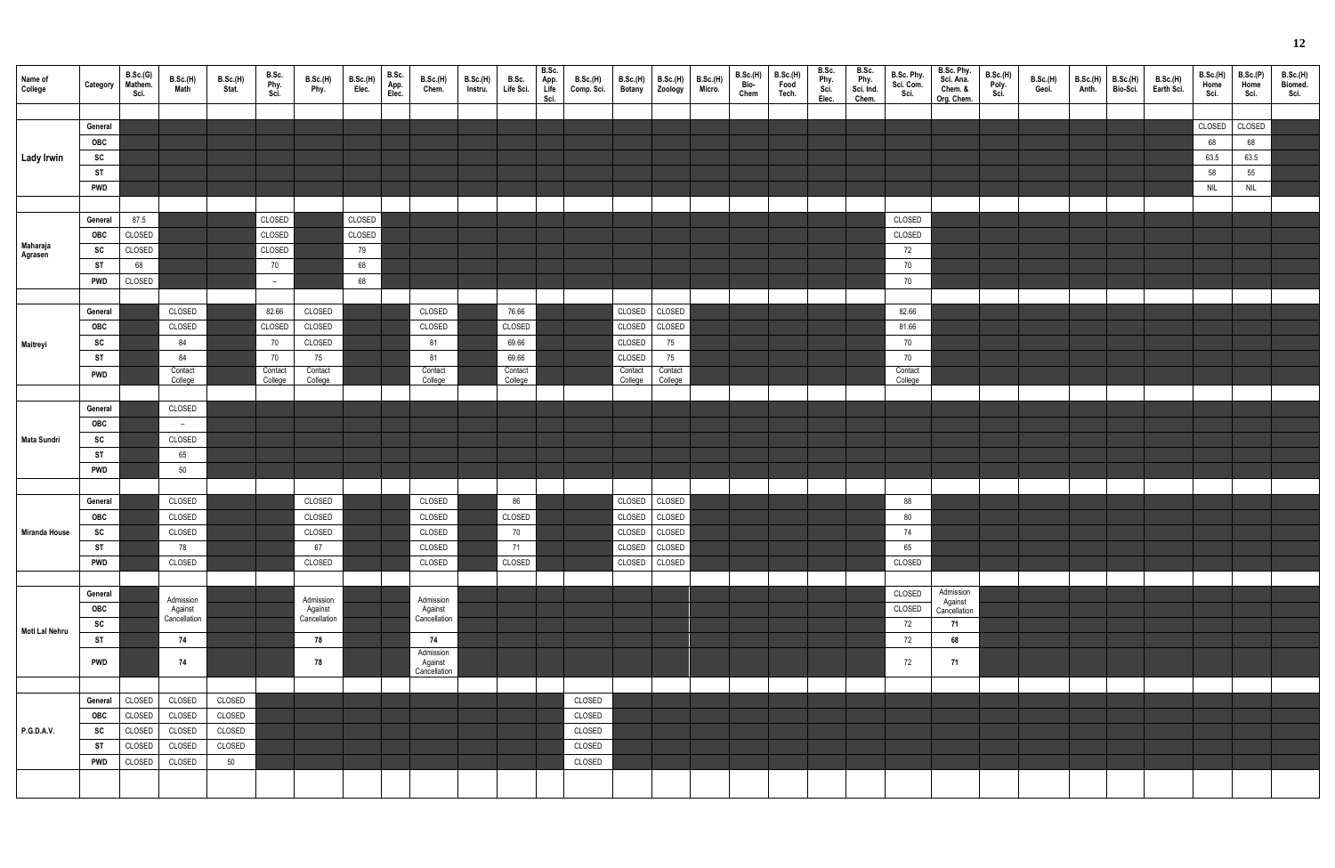| Name of<br>College | Category   | B.Sc.(G)<br>Mathem.<br>Sci. | B.Sc.(H)<br>Math | <b>B.Sc.(H)</b><br>Stat. | B.Sc.<br>Phy.<br>Sci. | <b>B.Sc.(H)</b><br>Phy. | <b>B.Sc.(H)</b><br>Elec. | B.Sc.<br>App.<br>Elec. | B.Sc.(H)<br>Chem.                    | B.Sc.(H)<br>Instru. | B.Sc.<br>Life Sci. | B.Sc.<br>App.<br>Life<br>Sci. | <b>B.Sc.(H)</b><br>Comp. Sci. | <b>B.Sc.(H)</b><br><b>Botany</b> | B.Sc.(H)<br>Zoology | <b>B.Sc.(H)</b><br>Micro. | B.Sc.(H)<br>Bio-<br>Chem | B.Sc.(H)<br>Food<br>Tech. | B.Sc.<br>Phy.<br>Sci.<br>Elec. | B.Sc.<br>Phy.<br>Sci. Ind.<br>Chem. | B.Sc. Phy.<br>Sci. Com.<br>Sci. | B.Sc. Phy.<br>Sci. Ana.<br>Chem. &<br>Org. Chem. | B.Sc.(H)<br>Poly.<br>Sci. | <b>B.Sc.(H)</b><br>Geol. | B.Sc.(H)<br>Anth. | <b>B.Sc.(H)</b><br>Bio-Sci. | B.Sc.(H)<br>Earth Sci. | <b>B.Sc.(H)</b><br>Home<br>Sci. | B.Sc.(P)<br>Home<br>Sci. | B.Sc.(H)<br>Biomed.<br>Sci. |
|--------------------|------------|-----------------------------|------------------|--------------------------|-----------------------|-------------------------|--------------------------|------------------------|--------------------------------------|---------------------|--------------------|-------------------------------|-------------------------------|----------------------------------|---------------------|---------------------------|--------------------------|---------------------------|--------------------------------|-------------------------------------|---------------------------------|--------------------------------------------------|---------------------------|--------------------------|-------------------|-----------------------------|------------------------|---------------------------------|--------------------------|-----------------------------|
|                    |            |                             |                  |                          |                       |                         |                          |                        |                                      |                     |                    |                               |                               |                                  |                     |                           |                          |                           |                                |                                     |                                 |                                                  |                           |                          |                   |                             |                        |                                 |                          |                             |
|                    | General    |                             |                  |                          |                       |                         |                          |                        |                                      |                     |                    |                               |                               |                                  |                     |                           |                          |                           |                                |                                     |                                 |                                                  |                           |                          |                   |                             |                        | CLOSED                          | CLOSED                   |                             |
|                    | OBC        |                             |                  |                          |                       |                         |                          |                        |                                      |                     |                    |                               |                               |                                  |                     |                           |                          |                           |                                |                                     |                                 |                                                  |                           |                          |                   |                             |                        | 68                              | 68                       |                             |
| <b>Lady Irwin</b>  | SC         |                             |                  |                          |                       |                         |                          |                        |                                      |                     |                    |                               |                               |                                  |                     |                           |                          |                           |                                |                                     |                                 |                                                  |                           |                          |                   |                             |                        | 63.5                            | 63.5                     |                             |
|                    | <b>ST</b>  |                             |                  |                          |                       |                         |                          |                        |                                      |                     |                    |                               |                               |                                  |                     |                           |                          |                           |                                |                                     |                                 |                                                  |                           |                          |                   |                             |                        | 58                              | 55                       |                             |
|                    | <b>PWD</b> |                             |                  |                          |                       |                         |                          |                        |                                      |                     |                    |                               |                               |                                  |                     |                           |                          |                           |                                |                                     |                                 |                                                  |                           |                          |                   |                             |                        | <b>NIL</b>                      | NIL                      |                             |
|                    | General    | 87.5                        |                  |                          | CLOSED                |                         | CLOSED                   |                        |                                      |                     |                    |                               |                               |                                  |                     |                           |                          |                           |                                |                                     | CLOSED                          |                                                  |                           |                          |                   |                             |                        |                                 |                          |                             |
|                    | OBC        | CLOSED                      |                  |                          | CLOSED                |                         | CLOSED                   |                        |                                      |                     |                    |                               |                               |                                  |                     |                           |                          |                           |                                |                                     | CLOSED                          |                                                  |                           |                          |                   |                             |                        |                                 |                          |                             |
| Maharaja           | SC         | CLOSED                      |                  |                          | CLOSED                |                         | 79                       |                        |                                      |                     |                    |                               |                               |                                  |                     |                           |                          |                           |                                |                                     | 72                              |                                                  |                           |                          |                   |                             |                        |                                 |                          |                             |
| Agrasen            | ST         | 68                          |                  |                          | 70                    |                         | 68                       |                        |                                      |                     |                    |                               |                               |                                  |                     |                           |                          |                           |                                |                                     | 70                              |                                                  |                           |                          |                   |                             |                        |                                 |                          |                             |
|                    | <b>PWD</b> | CLOSED                      |                  |                          | $\sim$                |                         | 68                       |                        |                                      |                     |                    |                               |                               |                                  |                     |                           |                          |                           |                                |                                     | 70                              |                                                  |                           |                          |                   |                             |                        |                                 |                          |                             |
|                    |            |                             |                  |                          |                       |                         |                          |                        |                                      |                     |                    |                               |                               |                                  |                     |                           |                          |                           |                                |                                     |                                 |                                                  |                           |                          |                   |                             |                        |                                 |                          |                             |
|                    | General    |                             | CLOSED           |                          | 82.66                 | CLOSED                  |                          |                        | CLOSED                               |                     | 76.66              |                               |                               | CLOSED                           | CLOSED              |                           |                          |                           |                                |                                     | 82.66                           |                                                  |                           |                          |                   |                             |                        |                                 |                          |                             |
|                    | OBC        |                             | CLOSED           |                          | CLOSED                | CLOSED                  |                          |                        | CLOSED                               |                     | CLOSED             |                               |                               | CLOSED                           | CLOSED              |                           |                          |                           |                                |                                     | 81.66                           |                                                  |                           |                          |                   |                             |                        |                                 |                          |                             |
| Maitreyi           | <b>SC</b>  |                             | 84               |                          | 70                    | CLOSED                  |                          |                        | 81                                   |                     | 69.66              |                               |                               | CLOSED                           | 75                  |                           |                          |                           |                                |                                     | 70                              |                                                  |                           |                          |                   |                             |                        |                                 |                          |                             |
|                    | <b>ST</b>  |                             | 84               |                          | 70                    | 75                      |                          |                        | 81                                   |                     | 69.66              |                               |                               | CLOSED                           | 75                  |                           |                          |                           |                                |                                     | 70                              |                                                  |                           |                          |                   |                             |                        |                                 |                          |                             |
|                    | <b>PWD</b> |                             | Contact          |                          | Contact               | Contact                 |                          |                        | Contact                              |                     | Contact            |                               |                               | Contact                          | Contact             |                           |                          |                           |                                |                                     | Contact                         |                                                  |                           |                          |                   |                             |                        |                                 |                          |                             |
|                    |            |                             | College          |                          | College               | College                 |                          |                        | College                              |                     | College            |                               |                               | College                          | College             |                           |                          |                           |                                |                                     | College                         |                                                  |                           |                          |                   |                             |                        |                                 |                          |                             |
|                    | General    |                             | CLOSED           |                          |                       |                         |                          |                        |                                      |                     |                    |                               |                               |                                  |                     |                           |                          |                           |                                |                                     |                                 |                                                  |                           |                          |                   |                             |                        |                                 |                          |                             |
|                    | OBC        |                             | $\overline{a}$   |                          |                       |                         |                          |                        |                                      |                     |                    |                               |                               |                                  |                     |                           |                          |                           |                                |                                     |                                 |                                                  |                           |                          |                   |                             |                        |                                 |                          |                             |
| <b>Mata Sundri</b> | SC         |                             | CLOSED           |                          |                       |                         |                          |                        |                                      |                     |                    |                               |                               |                                  |                     |                           |                          |                           |                                |                                     |                                 |                                                  |                           |                          |                   |                             |                        |                                 |                          |                             |
|                    | <b>ST</b>  |                             | 65               |                          |                       |                         |                          |                        |                                      |                     |                    |                               |                               |                                  |                     |                           |                          |                           |                                |                                     |                                 |                                                  |                           |                          |                   |                             |                        |                                 |                          |                             |
|                    | <b>PWD</b> |                             | 50               |                          |                       |                         |                          |                        |                                      |                     |                    |                               |                               |                                  |                     |                           |                          |                           |                                |                                     |                                 |                                                  |                           |                          |                   |                             |                        |                                 |                          |                             |
|                    |            |                             |                  |                          |                       |                         |                          |                        |                                      |                     |                    |                               |                               |                                  |                     |                           |                          |                           |                                |                                     |                                 |                                                  |                           |                          |                   |                             |                        |                                 |                          |                             |
|                    | General    |                             | CLOSED           |                          |                       | CLOSED                  |                          |                        | CLOSED                               |                     | 86                 |                               |                               | CLOSED                           | CLOSED              |                           |                          |                           |                                |                                     | 88                              |                                                  |                           |                          |                   |                             |                        |                                 |                          |                             |
|                    | OBC        |                             | CLOSED           |                          |                       | CLOSED                  |                          |                        | CLOSED                               |                     | CLOSED             |                               |                               | CLOSED CLOSED                    |                     |                           |                          |                           |                                |                                     | 80                              |                                                  |                           |                          |                   |                             |                        |                                 |                          |                             |
| Miranda House      | SC         |                             | CLOSED           |                          |                       | CLOSED                  |                          |                        | CLOSED                               |                     | 70                 |                               |                               | CLOSED CLOSED                    |                     |                           |                          |                           |                                |                                     | 74                              |                                                  |                           |                          |                   |                             |                        |                                 |                          |                             |
|                    | ST         |                             | 78               |                          |                       | 67                      |                          |                        | CLOSED                               |                     | 71                 |                               |                               | CLOSED                           | CLOSED              |                           |                          |                           |                                |                                     | 65                              |                                                  |                           |                          |                   |                             |                        |                                 |                          |                             |
|                    | <b>PWD</b> |                             | CLOSED           |                          |                       | CLOSED                  |                          |                        | CLOSED                               |                     | CLOSED             |                               |                               | CLOSED CLOSED                    |                     |                           |                          |                           |                                |                                     | CLOSED                          |                                                  |                           |                          |                   |                             |                        |                                 |                          |                             |
|                    |            |                             |                  |                          |                       |                         |                          |                        |                                      |                     |                    |                               |                               |                                  |                     |                           |                          |                           |                                |                                     |                                 |                                                  |                           |                          |                   |                             |                        |                                 |                          |                             |
|                    | General    |                             | Admission        |                          |                       | Admission               |                          |                        | Admission                            |                     |                    |                               |                               |                                  |                     |                           |                          |                           |                                |                                     | CLOSED                          | Admission<br>Against                             |                           |                          |                   |                             |                        |                                 |                          |                             |
|                    | OBC        |                             | Against          |                          |                       | Against                 |                          |                        | Against                              |                     |                    |                               |                               |                                  |                     |                           |                          |                           |                                |                                     | CLOSED                          | Cancellation                                     |                           |                          |                   |                             |                        |                                 |                          |                             |
| Moti Lal Nehru     | SC         |                             | Cancellation     |                          |                       | Cancellation            |                          |                        | Cancellation                         |                     |                    |                               |                               |                                  |                     |                           |                          |                           |                                |                                     | 72                              | 71                                               |                           |                          |                   |                             |                        |                                 |                          |                             |
|                    | <b>ST</b>  |                             | 74               |                          |                       | 78                      |                          |                        | 74                                   |                     |                    |                               |                               |                                  |                     |                           |                          |                           |                                |                                     | 72                              | 68                                               |                           |                          |                   |                             |                        |                                 |                          |                             |
|                    | <b>PWD</b> |                             | 74               |                          |                       | 78                      |                          |                        | Admission<br>Against<br>Cancellation |                     |                    |                               |                               |                                  |                     |                           |                          |                           |                                |                                     | 72                              | 71                                               |                           |                          |                   |                             |                        |                                 |                          |                             |
|                    |            |                             |                  |                          |                       |                         |                          |                        |                                      |                     |                    |                               |                               |                                  |                     |                           |                          |                           |                                |                                     |                                 |                                                  |                           |                          |                   |                             |                        |                                 |                          |                             |
|                    | General    | CLOSED                      | CLOSED           | CLOSED                   |                       |                         |                          |                        |                                      |                     |                    |                               | CLOSED                        |                                  |                     |                           |                          |                           |                                |                                     |                                 |                                                  |                           |                          |                   |                             |                        |                                 |                          |                             |
|                    | OBC        | CLOSED                      | CLOSED           | CLOSED                   |                       |                         |                          |                        |                                      |                     |                    |                               | CLOSED                        |                                  |                     |                           |                          |                           |                                |                                     |                                 |                                                  |                           |                          |                   |                             |                        |                                 |                          |                             |
| <b>P.G.D.A.V.</b>  | SC         | CLOSED                      | CLOSED           | CLOSED                   |                       |                         |                          |                        |                                      |                     |                    |                               | CLOSED                        |                                  |                     |                           |                          |                           |                                |                                     |                                 |                                                  |                           |                          |                   |                             |                        |                                 |                          |                             |
|                    | <b>ST</b>  | CLOSED                      | CLOSED           | CLOSED                   |                       |                         |                          |                        |                                      |                     |                    |                               | CLOSED                        |                                  |                     |                           |                          |                           |                                |                                     |                                 |                                                  |                           |                          |                   |                             |                        |                                 |                          |                             |
|                    | <b>PWD</b> | CLOSED                      | CLOSED           | 50                       |                       |                         |                          |                        |                                      |                     |                    |                               | CLOSED                        |                                  |                     |                           |                          |                           |                                |                                     |                                 |                                                  |                           |                          |                   |                             |                        |                                 |                          |                             |
|                    |            |                             |                  |                          |                       |                         |                          |                        |                                      |                     |                    |                               |                               |                                  |                     |                           |                          |                           |                                |                                     |                                 |                                                  |                           |                          |                   |                             |                        |                                 |                          |                             |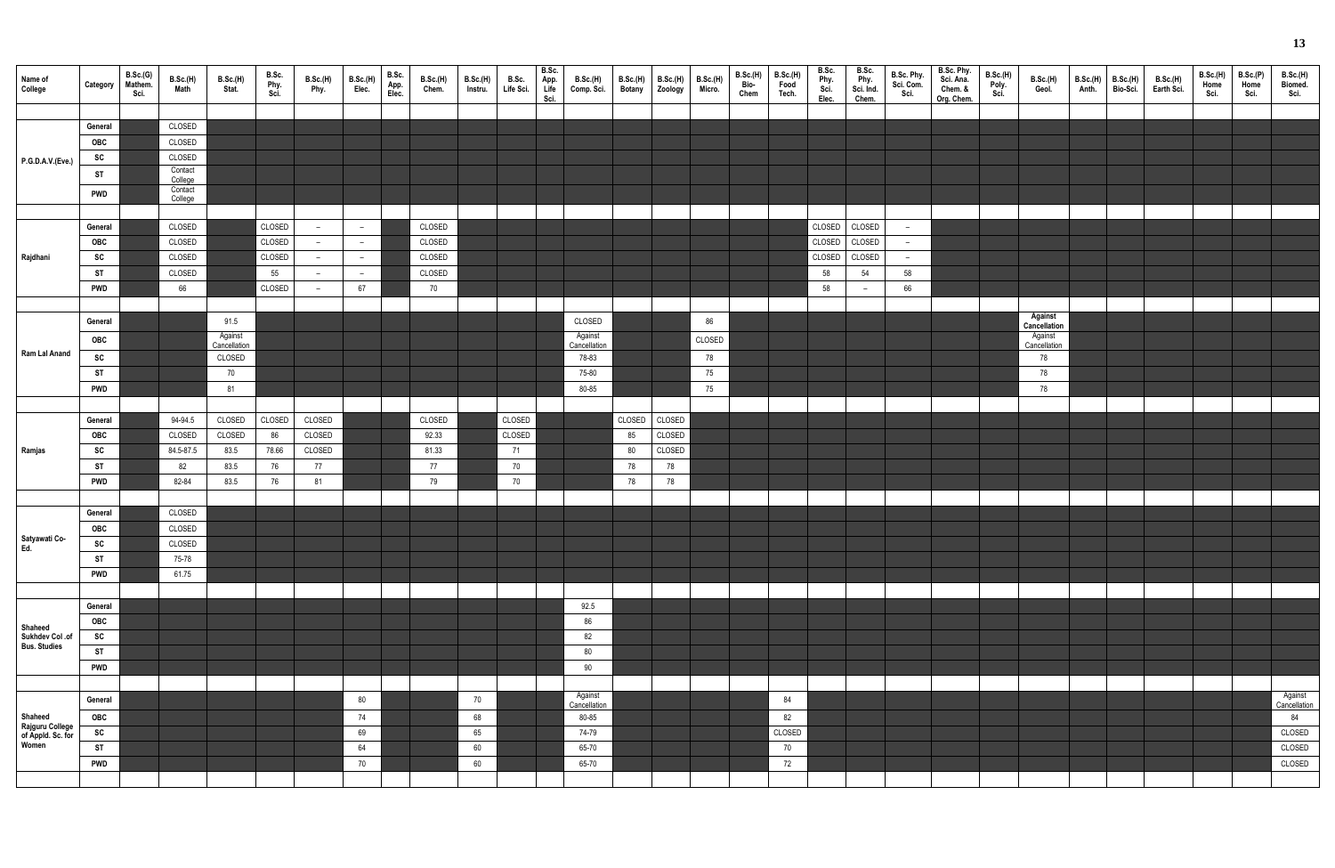| Name of<br>College                                | Category                             | B.Sc.(G)<br>Mathem.<br>Sci. | B.Sc.(H)<br>Math                         | <b>B.Sc.(H)</b><br>Stat.                        | B.Sc.<br>Phy.<br>Sci.      | <b>B.Sc.(H)</b><br>Phy.                                     | <b>B.Sc.(H)</b><br>Elec.               | B.Sc.<br>App.<br>Elec. | <b>B.Sc.(H)</b><br>Chem.   | B.Sc.(H)<br>Instru. | B.Sc.<br>Life Sci. | B.Sc.<br>App.<br>Life<br>Sci. | B.Sc.(H)<br>Comp. Sci.                              | B.Sc.(H)<br><b>Botany</b> | <b>B.Sc.(H)</b><br>Zoology | <b>B.Sc.(H)</b><br>Micro. | B.Sc.(H)<br>Bio-<br>Chem | <b>B.Sc.(H)</b><br>Food<br>Tech. | B.Sc.<br>Phy.<br>Sci.<br>Elec. | B.Sc.<br>Phy.<br>Sci. Ind.<br>Chem. | B.Sc. Phy.<br>Sci. Com.<br>Sci. | B.Sc. Phy.<br>Sci. Ana.<br>Chem. &<br>Org. Chem. | B.Sc.(H)<br>Poly.<br>Sci. | <b>B.Sc.(H)</b><br>Geol.                                       | B.Sc.(H)<br>Anth. | <b>B.Sc.(H)</b><br>Bio-Sci. | B.Sc.(H)<br>Earth Sci. | <b>B.Sc.(H)</b><br>Home<br>Sci. | B.Sc.(P)<br>Home<br>Sci. | B.Sc.(H)<br>Biomed.<br>Sci.   |
|---------------------------------------------------|--------------------------------------|-----------------------------|------------------------------------------|-------------------------------------------------|----------------------------|-------------------------------------------------------------|----------------------------------------|------------------------|----------------------------|---------------------|--------------------|-------------------------------|-----------------------------------------------------|---------------------------|----------------------------|---------------------------|--------------------------|----------------------------------|--------------------------------|-------------------------------------|---------------------------------|--------------------------------------------------|---------------------------|----------------------------------------------------------------|-------------------|-----------------------------|------------------------|---------------------------------|--------------------------|-------------------------------|
|                                                   | General<br>OBC<br>SC                 |                             | CLOSED<br>CLOSED<br>CLOSED               |                                                 |                            |                                                             |                                        |                        |                            |                     |                    |                               |                                                     |                           |                            |                           |                          |                                  |                                |                                     |                                 |                                                  |                           |                                                                |                   |                             |                        |                                 |                          |                               |
| P.G.D.A.V.(Eve.)                                  | <b>ST</b><br><b>PWD</b>              |                             | Contact<br>College<br>Contact<br>College |                                                 |                            |                                                             |                                        |                        |                            |                     |                    |                               |                                                     |                           |                            |                           |                          |                                  |                                |                                     |                                 |                                                  |                           |                                                                |                   |                             |                        |                                 |                          |                               |
| Rajdhani                                          | General<br>OBC<br>SC                 |                             | CLOSED<br>CLOSED<br>CLOSED               |                                                 | CLOSED<br>CLOSED<br>CLOSED | $-$<br>$\overline{\phantom{0}}$<br>$\overline{\phantom{0}}$ | $-$<br>$-$<br>$\overline{\phantom{0}}$ |                        | CLOSED<br>CLOSED<br>CLOSED |                     |                    |                               |                                                     |                           |                            |                           |                          |                                  | CLOSED<br>CLOSED<br>CLOSED     | CLOSED<br>CLOSED<br>CLOSED          | $ \,$<br>$-$<br>$-$             |                                                  |                           |                                                                |                   |                             |                        |                                 |                          |                               |
|                                                   | ST<br><b>PWD</b>                     |                             | CLOSED<br>66                             |                                                 | 55<br>CLOSED               | $-$<br>$-$                                                  | $-$<br>67                              |                        | CLOSED<br>70               |                     |                    |                               |                                                     |                           |                            |                           |                          |                                  | 58<br>58                       | 54<br>$\overline{\phantom{0}}$      | 58<br>66                        |                                                  |                           |                                                                |                   |                             |                        |                                 |                          |                               |
| Ram Lal Anand                                     | General<br>OBC<br>SC<br>ST           |                             |                                          | 91.5<br>Against<br>Cancellation<br>CLOSED<br>70 |                            |                                                             |                                        |                        |                            |                     |                    |                               | CLOSED<br>Against<br>Cancellation<br>78-83<br>75-80 |                           |                            | 86<br>CLOSED<br>78<br>75  |                          |                                  |                                |                                     |                                 |                                                  |                           | Against<br>Cancellation<br>Against<br>Cancellation<br>78<br>78 |                   |                             |                        |                                 |                          |                               |
|                                                   | <b>PWD</b><br>General                |                             | 94-94.5                                  | 81<br>CLOSED                                    | CLOSED                     | CLOSED                                                      |                                        |                        | CLOSED                     |                     | CLOSED             |                               | 80-85                                               | CLOSED                    | CLOSED                     | 75                        |                          |                                  |                                |                                     |                                 |                                                  |                           | 78                                                             |                   |                             |                        |                                 |                          |                               |
| Ramjas                                            | OBC<br>SC<br><b>ST</b>               |                             | CLOSED<br>84.5-87.5<br>82                | CLOSED<br>83.5<br>83.5                          | 86<br>78.66<br>76          | CLOSED<br>CLOSED<br>77                                      |                                        |                        | 92.33<br>81.33<br>77       |                     | CLOSED<br>71<br>70 |                               |                                                     | 85<br>80<br>78            | CLOSED<br>CLOSED<br>78     |                           |                          |                                  |                                |                                     |                                 |                                                  |                           |                                                                |                   |                             |                        |                                 |                          |                               |
|                                                   | <b>PWD</b><br>General                |                             | 82-84<br>CLOSED                          | 83.5                                            | 76                         | 81                                                          |                                        |                        | 79                         |                     | 70                 |                               |                                                     | 78                        | 78                         |                           |                          |                                  |                                |                                     |                                 |                                                  |                           |                                                                |                   |                             |                        |                                 |                          |                               |
| Satyawati Co-<br>Ed.                              | OBC<br>SC<br><b>ST</b>               |                             | CLOSED<br>CLOSED<br>75-78                |                                                 |                            |                                                             |                                        |                        |                            |                     |                    |                               |                                                     |                           |                            |                           |                          |                                  |                                |                                     |                                 |                                                  |                           |                                                                |                   |                             |                        |                                 |                          |                               |
|                                                   | <b>PWD</b><br>General                |                             | 61.75                                    |                                                 |                            |                                                             |                                        |                        |                            |                     |                    |                               | 92.5                                                |                           |                            |                           |                          |                                  |                                |                                     |                                 |                                                  |                           |                                                                |                   |                             |                        |                                 |                          |                               |
| Shaheed<br>Sukhdev Col .of<br><b>Bus. Studies</b> | OBC<br>SC<br><b>ST</b><br><b>PWD</b> |                             |                                          |                                                 |                            |                                                             |                                        |                        |                            |                     |                    |                               | 86<br>82<br>80<br>90                                |                           |                            |                           |                          |                                  |                                |                                     |                                 |                                                  |                           |                                                                |                   |                             |                        |                                 |                          |                               |
| Shaheed                                           | General<br>OBC                       |                             |                                          |                                                 |                            |                                                             | 80<br>74                               |                        |                            | 70<br>68            |                    |                               | Against<br>Cancellation<br>80-85                    |                           |                            |                           |                          | 84<br>82                         |                                |                                     |                                 |                                                  |                           |                                                                |                   |                             |                        |                                 |                          | Against<br>Cancellation<br>84 |
| Rajguru College<br>of Appld. Sc. for<br>Women     | SC<br><b>ST</b><br><b>PWD</b>        |                             |                                          |                                                 |                            |                                                             | 69<br>64<br>70                         |                        |                            | 65<br>60<br>60      |                    |                               | 74-79<br>65-70<br>65-70                             |                           |                            |                           |                          | CLOSED<br>70<br>72               |                                |                                     |                                 |                                                  |                           |                                                                |                   |                             |                        |                                 |                          | CLOSED<br>CLOSED<br>CLOSED    |
|                                                   |                                      |                             |                                          |                                                 |                            |                                                             |                                        |                        |                            |                     |                    |                               |                                                     |                           |                            |                           |                          |                                  |                                |                                     |                                 |                                                  |                           |                                                                |                   |                             |                        |                                 |                          |                               |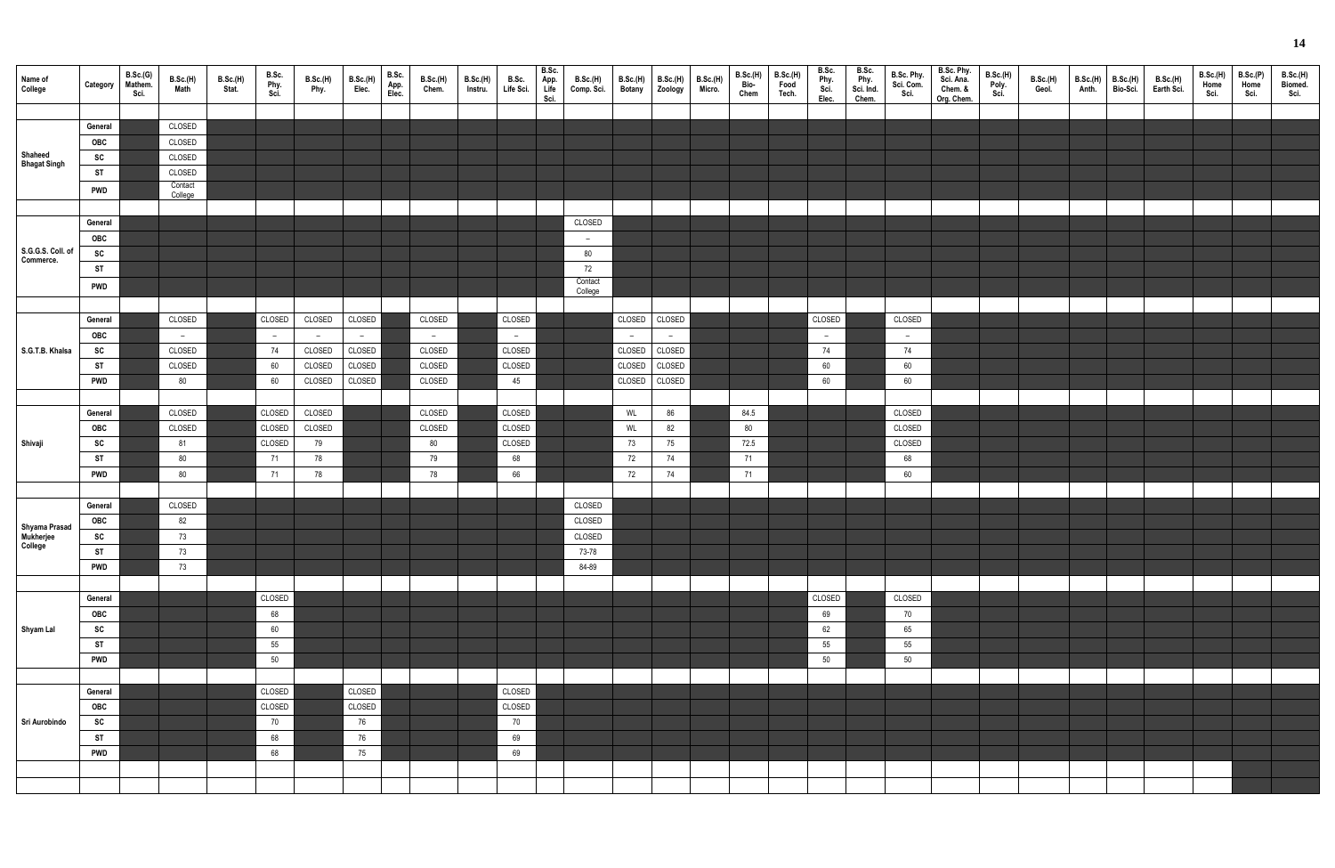| Name of<br>College                    | Category   | B.Sc.(G)<br>Mathem.<br>Sci. | B.Sc.(H)<br>Math  | B.Sc.(H)<br>Stat. | B.Sc.<br>Phy.<br>Sci. | B.Sc.(H)<br>Phy. | <b>B.Sc.(H)</b><br>Elec. | B.Sc.<br>App.<br>Elec. | B.Sc.(H)<br>Chem. | <b>B.Sc.(H)</b><br>Instru. | B.Sc.<br>Life Sci. | B.Sc.<br>App.<br>Life<br>Sci. | <b>B.Sc.(H)</b><br>Comp. Sci. | <b>B.Sc.(H)</b><br><b>Botany</b> | <b>B.Sc.(H)</b><br>Zoology | <b>B.Sc.(H)</b><br>Micro. | B.Sc.(H)<br>Bio-<br>Chem | <b>B.Sc.(H)</b><br>Food<br>Tech. | B.Sc.<br>Phy.<br>Sci.<br>Elec. | B.Sc.<br>Phy.<br>Sci. Ind.<br>Chem. | B.Sc. Phy.<br>Sci. Com.<br>Sci. | B.Sc. Phy.<br>Sci. Ana.<br>Chem. &<br>Org. Chem. | B.Sc.(H)<br>Poly.<br>Sci. | B.Sc.(H)<br>Geol. | B.Sc.(H)<br>Anth. | <b>B.Sc.(H)</b><br>Bio-Sci. | B.Sc.(H)<br>Earth Sci. | B.Sc.(H)<br>Home<br>Sci. | B.Sc.(P)<br>Home<br>Sci. | B.Sc.(H)<br>Biomed.<br>Sci. |
|---------------------------------------|------------|-----------------------------|-------------------|-------------------|-----------------------|------------------|--------------------------|------------------------|-------------------|----------------------------|--------------------|-------------------------------|-------------------------------|----------------------------------|----------------------------|---------------------------|--------------------------|----------------------------------|--------------------------------|-------------------------------------|---------------------------------|--------------------------------------------------|---------------------------|-------------------|-------------------|-----------------------------|------------------------|--------------------------|--------------------------|-----------------------------|
|                                       |            |                             |                   |                   |                       |                  |                          |                        |                   |                            |                    |                               |                               |                                  |                            |                           |                          |                                  |                                |                                     |                                 |                                                  |                           |                   |                   |                             |                        |                          |                          |                             |
|                                       | General    |                             | CLOSED            |                   |                       |                  |                          |                        |                   |                            |                    |                               |                               |                                  |                            |                           |                          |                                  |                                |                                     |                                 |                                                  |                           |                   |                   |                             |                        |                          |                          |                             |
| Shaheed                               | <b>OBC</b> |                             | CLOSED            |                   |                       |                  |                          |                        |                   |                            |                    |                               |                               |                                  |                            |                           |                          |                                  |                                |                                     |                                 |                                                  |                           |                   |                   |                             |                        |                          |                          |                             |
| <b>Bhagat Singh</b>                   | SC         |                             | CLOSED            |                   |                       |                  |                          |                        |                   |                            |                    |                               |                               |                                  |                            |                           |                          |                                  |                                |                                     |                                 |                                                  |                           |                   |                   |                             |                        |                          |                          |                             |
|                                       | <b>ST</b>  |                             | CLOSED<br>Contact |                   |                       |                  |                          |                        |                   |                            |                    |                               |                               |                                  |                            |                           |                          |                                  |                                |                                     |                                 |                                                  |                           |                   |                   |                             |                        |                          |                          |                             |
|                                       | <b>PWD</b> |                             | College           |                   |                       |                  |                          |                        |                   |                            |                    |                               |                               |                                  |                            |                           |                          |                                  |                                |                                     |                                 |                                                  |                           |                   |                   |                             |                        |                          |                          |                             |
|                                       |            |                             |                   |                   |                       |                  |                          |                        |                   |                            |                    |                               |                               |                                  |                            |                           |                          |                                  |                                |                                     |                                 |                                                  |                           |                   |                   |                             |                        |                          |                          |                             |
|                                       | General    |                             |                   |                   |                       |                  |                          |                        |                   |                            |                    |                               | CLOSED                        |                                  |                            |                           |                          |                                  |                                |                                     |                                 |                                                  |                           |                   |                   |                             |                        |                          |                          |                             |
|                                       | OBC        |                             |                   |                   |                       |                  |                          |                        |                   |                            |                    |                               | $\sim$                        |                                  |                            |                           |                          |                                  |                                |                                     |                                 |                                                  |                           |                   |                   |                             |                        |                          |                          |                             |
| S.G.G.S. Coll. of<br>Commerce.        | SC         |                             |                   |                   |                       |                  |                          |                        |                   |                            |                    |                               | 80                            |                                  |                            |                           |                          |                                  |                                |                                     |                                 |                                                  |                           |                   |                   |                             |                        |                          |                          |                             |
|                                       | <b>ST</b>  |                             |                   |                   |                       |                  |                          |                        |                   |                            |                    |                               | 72                            |                                  |                            |                           |                          |                                  |                                |                                     |                                 |                                                  |                           |                   |                   |                             |                        |                          |                          |                             |
|                                       | <b>PWD</b> |                             |                   |                   |                       |                  |                          |                        |                   |                            |                    |                               | Contact<br>College            |                                  |                            |                           |                          |                                  |                                |                                     |                                 |                                                  |                           |                   |                   |                             |                        |                          |                          |                             |
|                                       |            |                             |                   |                   |                       |                  |                          |                        |                   |                            |                    |                               |                               |                                  |                            |                           |                          |                                  |                                |                                     |                                 |                                                  |                           |                   |                   |                             |                        |                          |                          |                             |
|                                       | General    |                             | CLOSED            |                   | CLOSED                | CLOSED           | CLOSED                   |                        | CLOSED            |                            | CLOSED             |                               |                               | CLOSED                           | CLOSED                     |                           |                          |                                  | CLOSED                         |                                     | CLOSED                          |                                                  |                           |                   |                   |                             |                        |                          |                          |                             |
|                                       | OBC        |                             | $\sim$            |                   | $\sim$ $-$            | $\sim$           | $\sim$ $-$               |                        | $\sim$ $-$        |                            | $\sim$ $ \sim$     |                               |                               | $\sim$ $-$                       | $\sim$ $ \sim$             |                           |                          |                                  | $-$                            |                                     | $\sim$                          |                                                  |                           |                   |                   |                             |                        |                          |                          |                             |
| S.G.T.B. Khalsa                       | SC         |                             | CLOSED            |                   | 74                    | CLOSED           | CLOSED                   |                        | CLOSED            |                            | CLOSED             |                               |                               | CLOSED                           | <b>CLOSED</b>              |                           |                          |                                  | 74                             |                                     | 74                              |                                                  |                           |                   |                   |                             |                        |                          |                          |                             |
|                                       | <b>ST</b>  |                             | CLOSED            |                   | 60                    | CLOSED           | CLOSED                   |                        | CLOSED            |                            | CLOSED             |                               |                               | CLOSED                           | CLOSED                     |                           |                          |                                  | 60                             |                                     | 60                              |                                                  |                           |                   |                   |                             |                        |                          |                          |                             |
|                                       | <b>PWD</b> |                             | 80                |                   | 60                    | CLOSED           | CLOSED                   |                        | CLOSED            |                            | 45                 |                               |                               | CLOSED                           | CLOSED                     |                           |                          |                                  | 60                             |                                     | 60                              |                                                  |                           |                   |                   |                             |                        |                          |                          |                             |
|                                       |            |                             |                   |                   |                       |                  |                          |                        |                   |                            |                    |                               |                               |                                  |                            |                           |                          |                                  |                                |                                     |                                 |                                                  |                           |                   |                   |                             |                        |                          |                          |                             |
|                                       | General    |                             | CLOSED            |                   | CLOSED                | CLOSED           |                          |                        | CLOSED            |                            | CLOSED             |                               |                               | WL                               | 86                         |                           | 84.5                     |                                  |                                |                                     | CLOSED                          |                                                  |                           |                   |                   |                             |                        |                          |                          |                             |
|                                       | OBC        |                             | CLOSED            |                   | CLOSED                | CLOSED           |                          |                        | CLOSED            |                            | CLOSED             |                               |                               | WL                               | 82                         |                           | 80                       |                                  |                                |                                     | CLOSED                          |                                                  |                           |                   |                   |                             |                        |                          |                          |                             |
| Shivaji                               | SC         |                             | 81                |                   | CLOSED                | 79               |                          |                        | 80                |                            | CLOSED             |                               |                               | 73                               | $75\,$                     |                           | 72.5                     |                                  |                                |                                     | CLOSED                          |                                                  |                           |                   |                   |                             |                        |                          |                          |                             |
|                                       | ST         |                             | 80                |                   | 71                    | 78               |                          |                        | 79                |                            | 68                 |                               |                               | 72                               | 74                         |                           | 71                       |                                  |                                |                                     | 68                              |                                                  |                           |                   |                   |                             |                        |                          |                          |                             |
|                                       | <b>PWD</b> |                             | 80                |                   | 71                    | 78               |                          |                        | 78                |                            | 66                 |                               |                               | 72                               | 74                         |                           | 71                       |                                  |                                |                                     | 60                              |                                                  |                           |                   |                   |                             |                        |                          |                          |                             |
|                                       |            |                             |                   |                   |                       |                  |                          |                        |                   |                            |                    |                               |                               |                                  |                            |                           |                          |                                  |                                |                                     |                                 |                                                  |                           |                   |                   |                             |                        |                          |                          |                             |
|                                       | General    |                             | CLOSED            |                   |                       |                  |                          |                        |                   |                            |                    |                               | CLOSED                        |                                  |                            |                           |                          |                                  |                                |                                     |                                 |                                                  |                           |                   |                   |                             |                        |                          |                          |                             |
|                                       | <b>OBC</b> |                             | 82                |                   |                       |                  |                          |                        |                   |                            |                    |                               | CLOSED                        |                                  |                            |                           |                          |                                  |                                |                                     |                                 |                                                  |                           |                   |                   |                             |                        |                          |                          |                             |
| Shyama Prasad<br>Mukherjee<br>College | SC         |                             | 73                |                   |                       |                  |                          |                        |                   |                            |                    |                               | CLOSED                        |                                  |                            |                           |                          |                                  |                                |                                     |                                 |                                                  |                           |                   |                   |                             |                        |                          |                          |                             |
|                                       | <b>ST</b>  |                             | 73                |                   |                       |                  |                          |                        |                   |                            |                    |                               | 73-78                         |                                  |                            |                           |                          |                                  |                                |                                     |                                 |                                                  |                           |                   |                   |                             |                        |                          |                          |                             |
|                                       | <b>PWD</b> |                             | 73                |                   |                       |                  |                          |                        |                   |                            |                    |                               | 84-89                         |                                  |                            |                           |                          |                                  |                                |                                     |                                 |                                                  |                           |                   |                   |                             |                        |                          |                          |                             |
|                                       |            |                             |                   |                   |                       |                  |                          |                        |                   |                            |                    |                               |                               |                                  |                            |                           |                          |                                  |                                |                                     |                                 |                                                  |                           |                   |                   |                             |                        |                          |                          |                             |
|                                       | General    |                             |                   |                   | CLOSED                |                  |                          |                        |                   |                            |                    |                               |                               |                                  |                            |                           |                          |                                  | CLOSED                         |                                     | CLOSED                          |                                                  |                           |                   |                   |                             |                        |                          |                          |                             |
|                                       | OBC        |                             |                   |                   | 68                    |                  |                          |                        |                   |                            |                    |                               |                               |                                  |                            |                           |                          |                                  | 69                             |                                     | 70                              |                                                  |                           |                   |                   |                             |                        |                          |                          |                             |
| Shyam Lal                             | SC         |                             |                   |                   | 60                    |                  |                          |                        |                   |                            |                    |                               |                               |                                  |                            |                           |                          |                                  | 62                             |                                     | 65                              |                                                  |                           |                   |                   |                             |                        |                          |                          |                             |
|                                       | <b>ST</b>  |                             |                   |                   | 55                    |                  |                          |                        |                   |                            |                    |                               |                               |                                  |                            |                           |                          |                                  | 55                             |                                     | 55                              |                                                  |                           |                   |                   |                             |                        |                          |                          |                             |
|                                       | <b>PWD</b> |                             |                   |                   | 50                    |                  |                          |                        |                   |                            |                    |                               |                               |                                  |                            |                           |                          |                                  | 50                             |                                     | 50                              |                                                  |                           |                   |                   |                             |                        |                          |                          |                             |
|                                       |            |                             |                   |                   |                       |                  |                          |                        |                   |                            |                    |                               |                               |                                  |                            |                           |                          |                                  |                                |                                     |                                 |                                                  |                           |                   |                   |                             |                        |                          |                          |                             |
|                                       | General    |                             |                   |                   | CLOSED                |                  | CLOSED                   |                        |                   |                            | CLOSED             |                               |                               |                                  |                            |                           |                          |                                  |                                |                                     |                                 |                                                  |                           |                   |                   |                             |                        |                          |                          |                             |
|                                       | OBC        |                             |                   |                   | CLOSED                |                  | CLOSED                   |                        |                   |                            | CLOSED             |                               |                               |                                  |                            |                           |                          |                                  |                                |                                     |                                 |                                                  |                           |                   |                   |                             |                        |                          |                          |                             |
| Sri Aurobindo                         | SC         |                             |                   |                   | 70                    |                  | 76                       |                        |                   |                            | 70                 |                               |                               |                                  |                            |                           |                          |                                  |                                |                                     |                                 |                                                  |                           |                   |                   |                             |                        |                          |                          |                             |
|                                       | <b>ST</b>  |                             |                   |                   | 68                    |                  | 76                       |                        |                   |                            | 69                 |                               |                               |                                  |                            |                           |                          |                                  |                                |                                     |                                 |                                                  |                           |                   |                   |                             |                        |                          |                          |                             |
|                                       | <b>PWD</b> |                             |                   |                   | 68                    |                  | 75                       |                        |                   |                            | 69                 |                               |                               |                                  |                            |                           |                          |                                  |                                |                                     |                                 |                                                  |                           |                   |                   |                             |                        |                          |                          |                             |
|                                       |            |                             |                   |                   |                       |                  |                          |                        |                   |                            |                    |                               |                               |                                  |                            |                           |                          |                                  |                                |                                     |                                 |                                                  |                           |                   |                   |                             |                        |                          |                          |                             |
|                                       |            |                             |                   |                   |                       |                  |                          |                        |                   |                            |                    |                               |                               |                                  |                            |                           |                          |                                  |                                |                                     |                                 |                                                  |                           |                   |                   |                             |                        |                          |                          |                             |